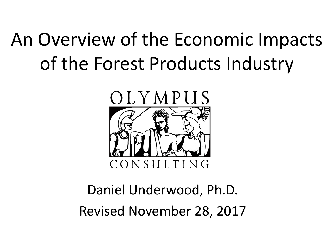## An Overview of the Economic Impacts of the Forest Products Industry



#### Daniel Underwood, Ph.D. Revised November 28, 2017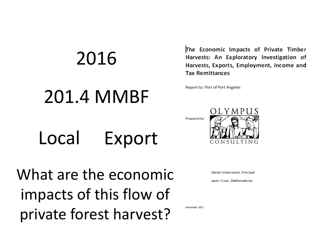# 2016 201.4 MMBF

The Economic Impacts of Private Timber Harvests: An Exploratory Investigation of Harvests, Exports, Employment, Income and **Tax Remittances** 

Report to: Port of Port Angeles

Local Export

What are the economic impacts of this flow of private forest harvest?



Daniel Underwood, Principal

Jason Cross, Mathematician

November 2017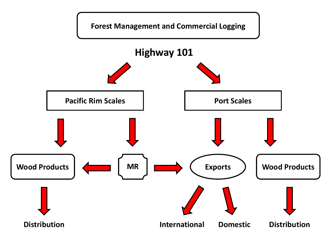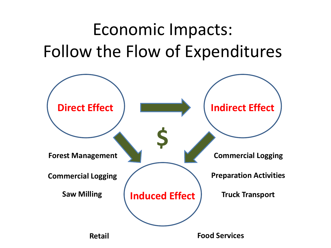### Economic Impacts: Follow the Flow of Expenditures

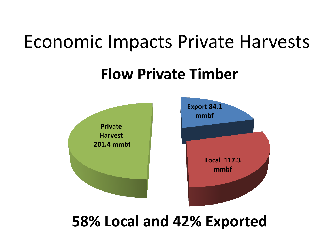### Economic Impacts Private Harvests

#### **Flow Private Timber**



#### **58% Local and 42% Exported**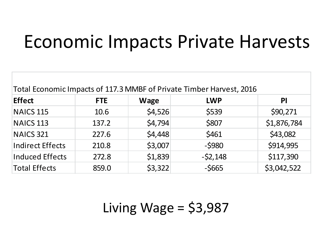### Economic Impacts Private Harvests

| Total Economic Impacts of 117.3 MMBF of Private Timber Harvest, 2016 |            |             |            |             |  |
|----------------------------------------------------------------------|------------|-------------|------------|-------------|--|
| <b>Effect</b>                                                        | <b>FTE</b> | <b>Wage</b> | <b>LWP</b> | <b>PI</b>   |  |
| <b>NAICS 115</b>                                                     | 10.6       | \$4,526     | \$539      | \$90,271    |  |
| <b>NAICS 113</b>                                                     | 137.2      | \$4,794     | \$807      | \$1,876,784 |  |
| <b>NAICS 321</b>                                                     | 227.6      | \$4,448     | \$461      | \$43,082    |  |
| <b>Indirect Effects</b>                                              | 210.8      | \$3,007     | $-$ \$980  | \$914,995   |  |
| <b>Induced Effects</b>                                               | 272.8      | \$1,839     | $-52,148$  | \$117,390   |  |
| <b>Total Effects</b>                                                 | 859.0      | \$3,322     | $-5665$    | \$3,042,522 |  |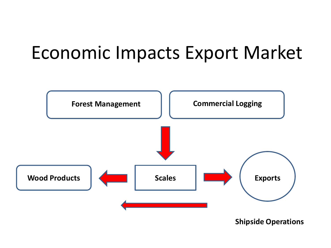### Economic Impacts Export Market

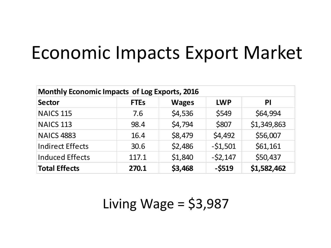### Economic Impacts Export Market

| <b>Monthly Economic Impacts of Log Exports, 2016</b> |             |              |            |             |  |
|------------------------------------------------------|-------------|--------------|------------|-------------|--|
| <b>Sector</b>                                        | <b>FTEs</b> | <b>Wages</b> | <b>LWP</b> | PI          |  |
| <b>NAICS 115</b>                                     | 7.6         | \$4,536      | \$549      | \$64,994    |  |
| <b>NAICS 113</b>                                     | 98.4        | \$4,794      | \$807      | \$1,349,863 |  |
| NAICS 4883                                           | 16.4        | \$8,479      | \$4,492    | \$56,007    |  |
| <b>Indirect Effects</b>                              | 30.6        | \$2,486      | $-51,501$  | \$61,161    |  |
| <b>Induced Effects</b>                               | 117.1       | \$1,840      | $-52,147$  | \$50,437    |  |
| <b>Total Effects</b>                                 | 270.1       | \$3,468      | $-5519$    | \$1,582,462 |  |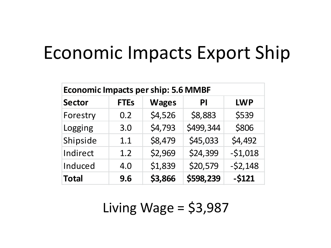### Economic Impacts Export Ship

| <b>Economic Impacts per ship: 5.6 MMBF</b> |             |              |           |            |
|--------------------------------------------|-------------|--------------|-----------|------------|
| <b>Sector</b>                              | <b>FTEs</b> | <b>Wages</b> | PI        | <b>LWP</b> |
| Forestry                                   | 0.2         | \$4,526      | \$8,883   | \$539      |
| Logging                                    | 3.0         | \$4,793      | \$499,344 | \$806      |
| Shipside                                   | 1.1         | \$8,479      | \$45,033  | \$4,492    |
| Indirect                                   | 1.2         | \$2,969      | \$24,399  | $-51,018$  |
| Induced                                    | 4.0         | \$1,839      | \$20,579  | $-52,148$  |
| <b>Total</b>                               | 9.6         | \$3,866      | \$598,239 | $-5121$    |